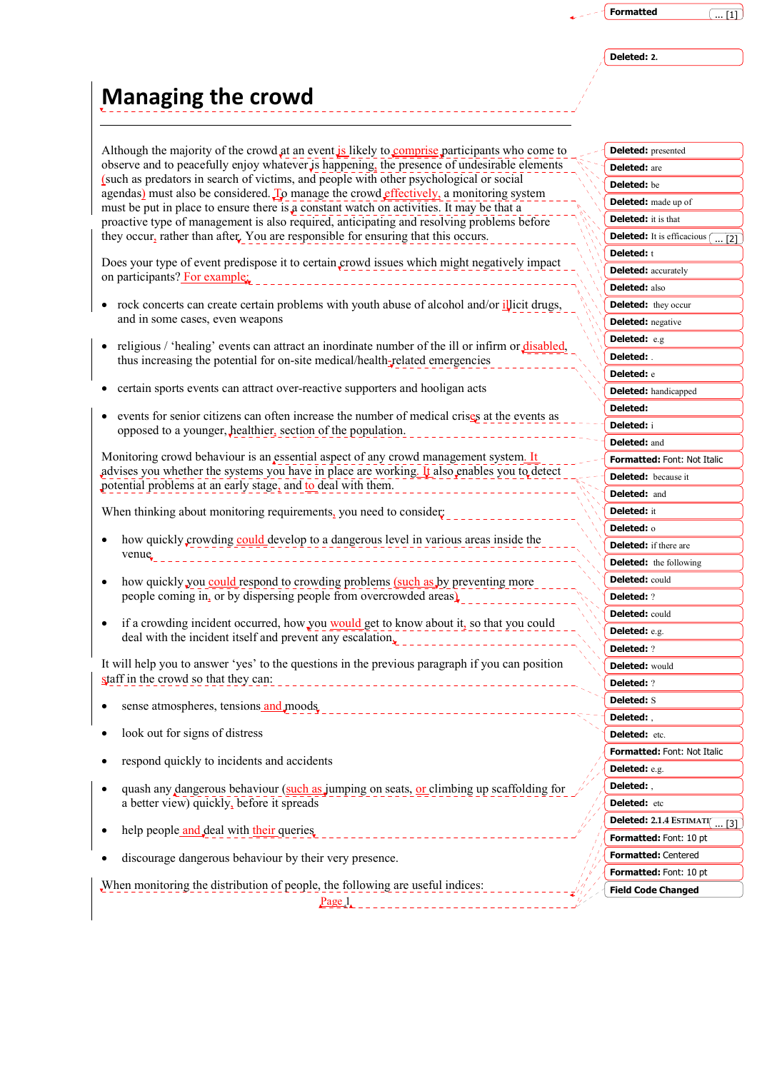## ... [1]

**Deleted: 2.** 

## **Managing the crowd**

Although the majority of the crowd at an event is likely to comprise participants who come to observe and to peacefully enjoy whatever is happening, the presence of undesirable elements (such as predators in search of victims, and people with other psychological or social agendas) must also be considered. To manage the crowd effectively, a monitoring system must be put in place to ensure there is a constant watch on activities. It may be that a proactive type of management is also required, anticipating and resolving problems before they occur, rather than after. You are responsible for ensuring that this occurs.

Does your type of event predispose it to certain crowd issues which might negatively impact on participants? For example:

- rock concerts can create certain problems with youth abuse of alcohol and/or illicit drugs, and in some cases, even weapons
- religious / 'healing' events can attract an inordinate number of the ill or infirm or disabled, thus increasing the potential for on-site medical/health-related emergencies
- certain sports events can attract over-reactive supporters and hooligan acts
- events for senior citizens can often increase the number of medical crises at the events as opposed to a younger, healthier, section of the population.

Monitoring crowd behaviour is an essential aspect of any crowd management system. It advises you whether the systems you have in place are working. It also enables you to detect potential problems at an early stage, and to deal with them.

When thinking about monitoring requirements, you need to consider:

- how quickly crowding could develop to a dangerous level in various areas inside the venue
- how quickly you could respond to crowding problems (such as by preventing more people coming in, or by dispersing people from overcrowded areas)
- if a crowding incident occurred, how you would get to know about it, so that you could deal with the incident itself and prevent any escalation.

It will help you to answer 'yes' to the questions in the previous paragraph if you can position staff in the crowd so that they can: 

- sense atmospheres, tensions and moods
- look out for signs of distress
- respond quickly to incidents and accidents
- quash any dangerous behaviour (such as jumping on seats, or climbing up scaffolding for a better view) quickly, before it spreads
- help people and deal with their queries
- discourage dangerous behaviour by their very presence.

When monitoring the distribution of people, the following are useful indices:

 $Page_1$ 

| <b>Deleted:</b> presented  |                                   |
|----------------------------|-----------------------------------|
| <b>Deleted:</b> are        |                                   |
| Deleted: be                |                                   |
|                            | <b>Deleted:</b> made up of        |
| Deleted:                   | it is that                        |
| Deleted:                   | It is efficacious<br>$\ldots$ [2] |
| Deleted: t                 |                                   |
| Deleted:                   | accurately                        |
| Deleted:                   | also                              |
| Deleted:                   | they occur                        |
| <b>Deleted:</b> negative   |                                   |
| Deleted:                   | e.g                               |
| Deleted:                   |                                   |
| Deleted: e                 |                                   |
|                            | <b>Deleted:</b> handicapped       |
| Deleted:                   |                                   |
| Deleted:                   | i                                 |
| <b>Deleted:</b> and        |                                   |
|                            | Formatted: Font: Not Italic       |
| <b>Deleted:</b> because it |                                   |
| Deleted:                   | and                               |
| Deleted:                   | it                                |
| Deleted: o                 |                                   |
|                            | <b>Deleted:</b> if there are      |
|                            | <b>Deleted:</b> the following     |
| <b>Deleted:</b> could      |                                   |
| <b>Deleted: ?</b>          |                                   |
| <b>Deleted:</b> could      |                                   |
| Deleted: e.g.              |                                   |
| <b>Deleted: ?</b>          |                                   |
| <b>Deleted: would</b>      |                                   |
| <b>Deleted:</b> ?          |                                   |
| <b>Deleted:</b> S          |                                   |
| Deleted:                   |                                   |
| Deleted: etc.              |                                   |
|                            | Formatted: Font: Not Italic       |
| Deleted: e.g.              |                                   |
| Deleted:                   |                                   |
| Deleted:                   | etc                               |
|                            | Deleted: 2.1.4 ESTIMATI<br>[3]    |
|                            | <b>Formatted:</b> Font: 10 pt     |
|                            | Formatted: Centered               |
|                            | <b>Formatted:</b> Font: 10 pt     |
|                            | <b>Field Code Changed</b>         |